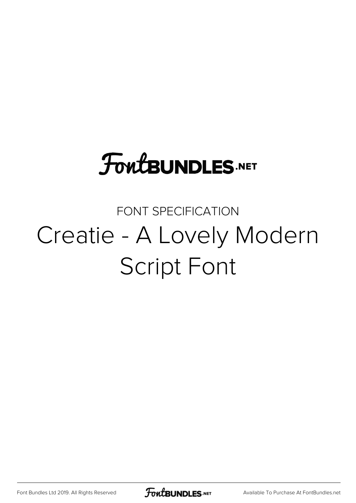## **FoutBUNDLES.NET**

#### FONT SPECIFICATION Creatie - A Lovely Modern Script Font

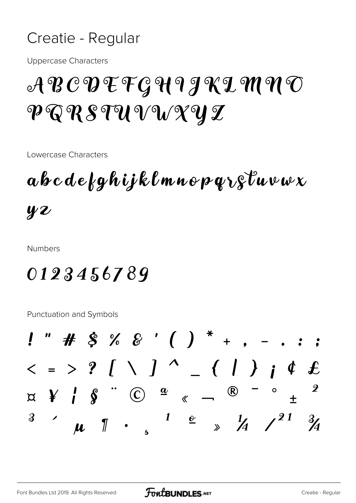#### Creatie - Regular

**Uppercase Characters** 

### $\mathcal{A}\mathcal{B}\mathcal{C}\mathcal{D}\mathcal{F}\mathcal{F}\mathcal{G}\mathcal{H}$ 9 J K L M N O P Q R S TU V W X Y Z

Lowercase Characters

 $\boldsymbol{a} \boldsymbol{b} \boldsymbol{c} \boldsymbol{d} \boldsymbol{e}$  for  $\boldsymbol{c}$  is the unity for  $\boldsymbol{c}$  we use  $\boldsymbol{x}$  $yz$ 

**Numbers** 

#### 0123456789

Punctuation and Symbols

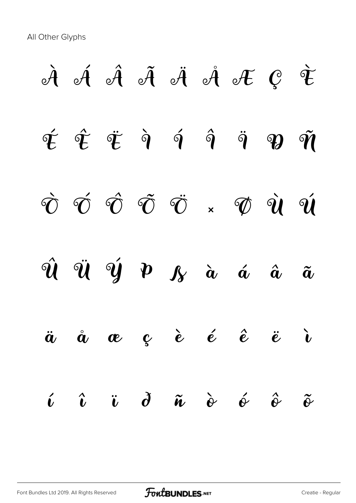All Other Glyphs

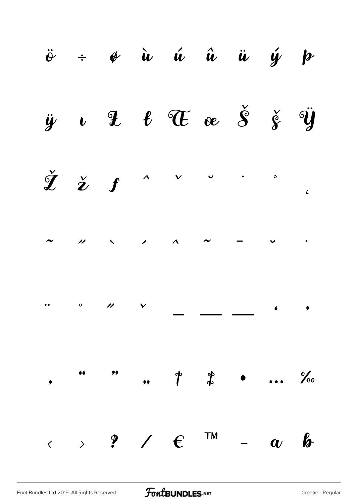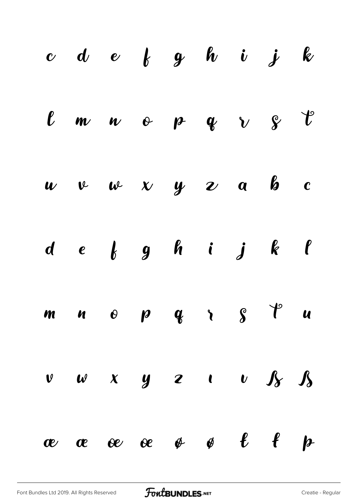|  |  | $c\,$ d $e\,$ f $g\,$ h i $j\,$ k                                                      |  |  |
|--|--|----------------------------------------------------------------------------------------|--|--|
|  |  | $l$ m n o p q $v$ $s$ $t$                                                              |  |  |
|  |  | $w \quad v \quad w \quad x \quad y \quad z \quad a \quad b \quad c$                    |  |  |
|  |  | $d \quad e \quad b \quad g \quad h \quad i \quad j \quad k \quad \ell$                 |  |  |
|  |  | $m \quad n \quad o \quad p \quad q \quad r \quad s \quad t \quad u$                    |  |  |
|  |  | $\begin{array}{ccccccccccccccccccccc}\nv & w & x & y & z & t & v & s & s\n\end{array}$ |  |  |
|  |  | ææœe øø e f p                                                                          |  |  |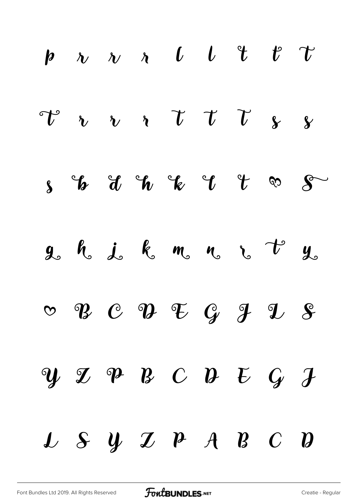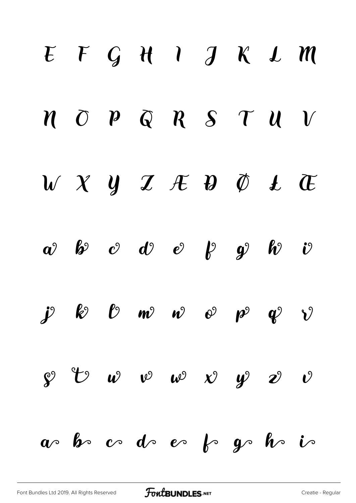# $E F G H I J K L M$  $M$   $\overline{O}$   $P$   $\overline{Q}$   $R$   $S$   $T$   $U$   $V$  $V X Y Z E D D L E$  $a$  b c d e p g h v  $\dot{J}$   $\dot{\mathcal{E}}$   $\dot{\mathcal{E}}$   $\mathcal{D}$   $\dot{\mathcal{W}}$   $\dot{\mathcal{W}}$   $\dot{\mathcal{O}}$   $\dot{\mathcal{P}}$   $\dot{\mathcal{Q}}$   $\dot{\mathcal{V}}$  $\mathcal{S}$   $\mathcal{C}$   $\omega$   $\omega$   $\omega$   $\chi$   $\psi$   $\mathcal{D}$   $\mathcal{O}$  $a$  be code es fogo ho is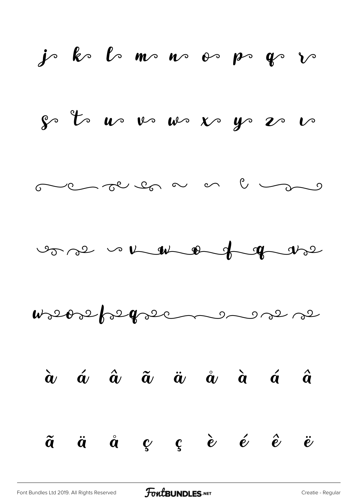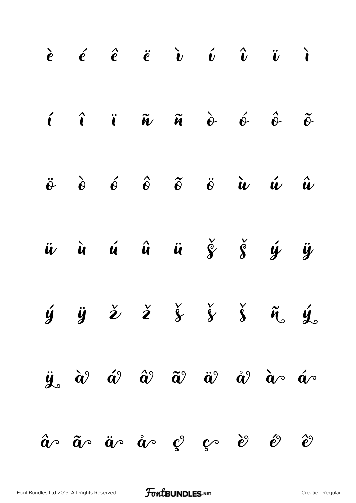|  | $\begin{array}{ccccccccccccccccc}\n\hat{e} & \hat{e} & \hat{e} & \hat{e} & \hat{v} & \hat{v} & \hat{v} & \hat{v} & \hat{v}\n\end{array}$                                    |  |  |  |
|--|-----------------------------------------------------------------------------------------------------------------------------------------------------------------------------|--|--|--|
|  | $\hat{i}$ $\hat{i}$ $\hat{u}$ $\hat{u}$ $\hat{v}$ $\hat{v}$ $\hat{v}$ $\hat{v}$                                                                                             |  |  |  |
|  | $\ddot{\theta}$ $\dot{\theta}$ $\dot{\theta}$ $\ddot{\theta}$ $\ddot{\theta}$ $\ddot{\theta}$ $\dot{u}$ $\dot{u}$ $\dot{u}$                                                 |  |  |  |
|  | <i>i</i> i i î i $\check{g}$ $\check{g}$ i $\check{g}$                                                                                                                      |  |  |  |
|  | $\dot{y}$ $\ddot{y}$ $\dot{z}$ $\dot{z}$ $\dot{\zeta}$ $\dot{\zeta}$ $\ddot{\zeta}$ $\ddot{\zeta}$                                                                          |  |  |  |
|  | $\ddot{y}$ $\dot{\alpha}$ $\acute{\alpha}$ $\hat{\alpha}$ $\ddot{\alpha}$ $\ddot{\alpha}$ $\ddot{\alpha}$ $\dot{\alpha}$ $\dot{\alpha}$ $\dot{\alpha}$ $\dot{\alpha}$       |  |  |  |
|  | $\hat{\bm{a}}$ $\sim$ $\tilde{\bm{a}}$ $\sim$ $\hat{\bm{a}}$ $\sim$ $\hat{\bm{a}}$ $\sim$ $\hat{\bm{c}}$ $\hat{\bm{c}}$ $\sim$ $\hat{\bm{c}}$ $\hat{\bm{c}}$ $\hat{\bm{c}}$ |  |  |  |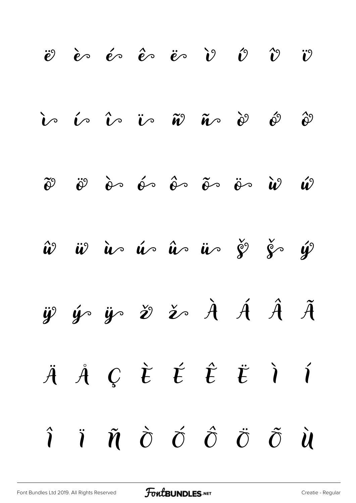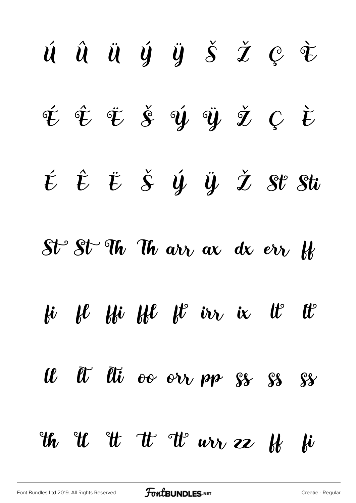ú û ü ý ÿ š ž ę ž É Ť Ť Š Ý Ÿ Ž Ç Ù  $\acute{t}$   $\acute{t}$   $\acute{t}$   $\acute{s}$   $\acute{y}$   $\ddot{y}$   $\mathring{z}$   $\mathscr{S}$   $\mathscr{V}$   $\mathscr{S}$   $\ddot{t}$  $St^{\circ}$   $St^{\circ}$  Th  $u$  arr ax dx err  $W$ fi fl ffi ffl ft in ie tt tt Il Il Ili oo orr pp  $s\$  ss  $s\$  $w$  if  $w$  if  $w$  we as  $w$  if  $w$